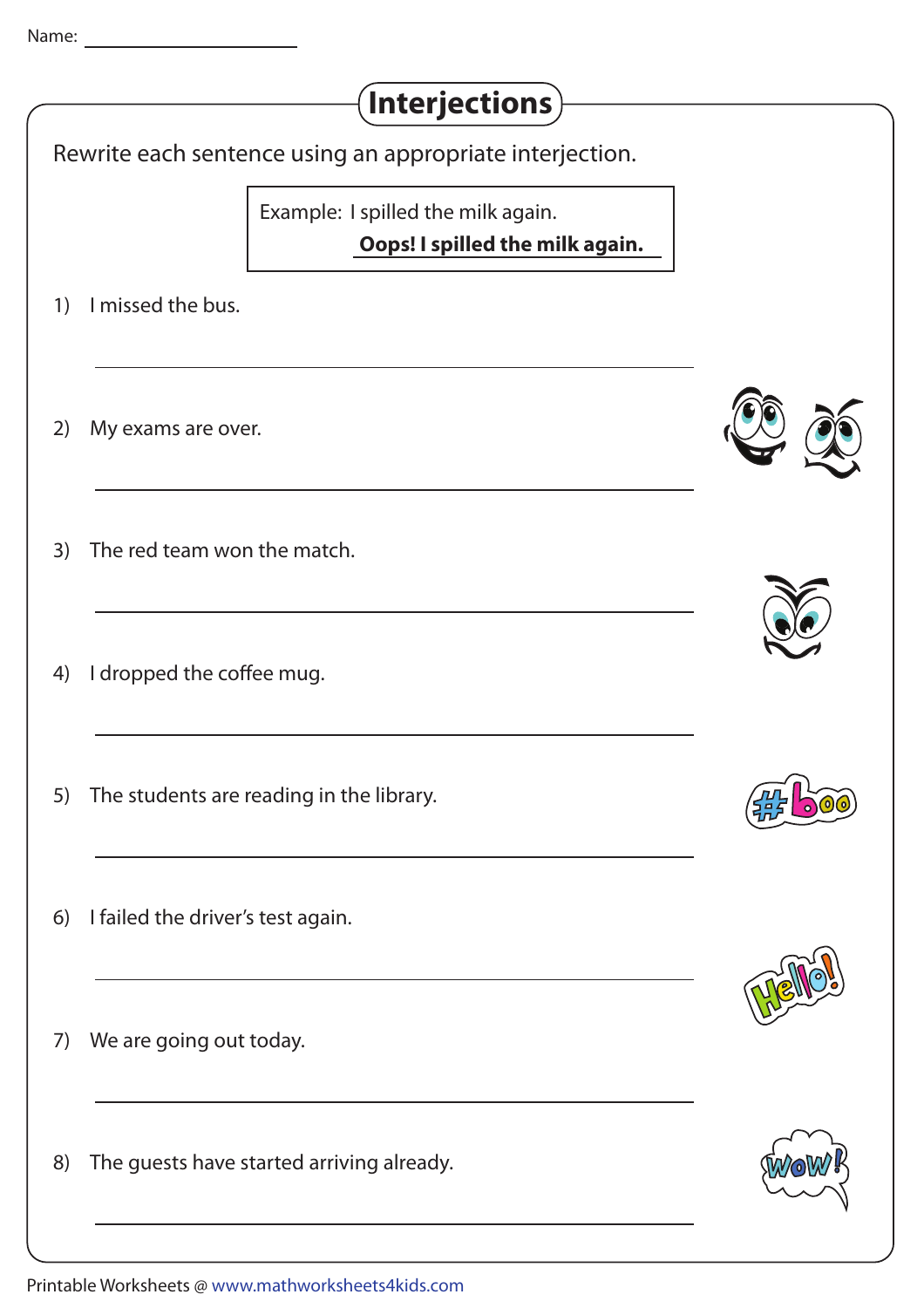| $($ Interjections $)$                                                 |  |
|-----------------------------------------------------------------------|--|
| Rewrite each sentence using an appropriate interjection.              |  |
| Example: I spilled the milk again.<br>Oops! I spilled the milk again. |  |
| I missed the bus.<br>1)                                               |  |
| 2)<br>My exams are over.                                              |  |
| The red team won the match.<br>3)                                     |  |
| I dropped the coffee mug.<br>4)                                       |  |
| The students are reading in the library.<br>5)                        |  |
| I failed the driver's test again.<br>6)                               |  |
| We are going out today.<br>7)                                         |  |
| The guests have started arriving already.<br>8)                       |  |
|                                                                       |  |